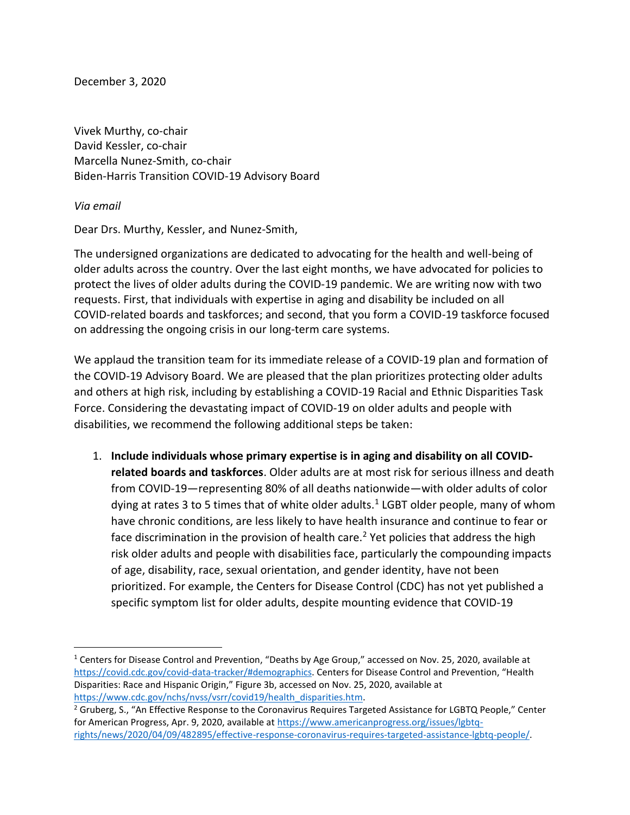December 3, 2020

Vivek Murthy, co-chair David Kessler, co-chair Marcella Nunez-Smith, co-chair Biden-Harris Transition COVID-19 Advisory Board

*Via email* 

 $\overline{\phantom{a}}$ 

Dear Drs. Murthy, Kessler, and Nunez-Smith,

The undersigned organizations are dedicated to advocating for the health and well-being of older adults across the country. Over the last eight months, we have advocated for policies to protect the lives of older adults during the COVID-19 pandemic. We are writing now with two requests. First, that individuals with expertise in aging and disability be included on all COVID-related boards and taskforces; and second, that you form a COVID-19 taskforce focused on addressing the ongoing crisis in our long-term care systems.

We applaud the transition team for its immediate release of a COVID-19 plan and formation of the COVID-19 Advisory Board. We are pleased that the plan prioritizes protecting older adults and others at high risk, including by establishing a COVID-19 Racial and Ethnic Disparities Task Force. Considering the devastating impact of COVID-19 on older adults and people with disabilities, we recommend the following additional steps be taken:

1. **Include individuals whose primary expertise is in aging and disability on all COVIDrelated boards and taskforces**. Older adults are at most risk for serious illness and death from COVID-19—representing 80% of all deaths nationwide—with older adults of color dying at rates 3 to 5 times that of white older adults.<sup>1</sup> LGBT older people, many of whom have chronic conditions, are less likely to have health insurance and continue to fear or face discrimination in the provision of health care.<sup>2</sup> Yet policies that address the high risk older adults and people with disabilities face, particularly the compounding impacts of age, disability, race, sexual orientation, and gender identity, have not been prioritized. For example, the Centers for Disease Control (CDC) has not yet published a specific symptom list for older adults, despite mounting evidence that COVID-19

<sup>&</sup>lt;sup>1</sup> Centers for Disease Control and Prevention, "Deaths by Age Group," accessed on Nov. 25, 2020, available at <https://covid.cdc.gov/covid-data-tracker/#demographics>. Centers for Disease Control and Prevention, "Health Disparities: Race and Hispanic Origin," Figure 3b, accessed on Nov. 25, 2020, available at [https://www.cdc.gov/nchs/nvss/vsrr/covid19/health\\_disparities.htm.](https://www.cdc.gov/nchs/nvss/vsrr/covid19/health_disparities.htm)

<sup>&</sup>lt;sup>2</sup> Gruberg, S., "An Effective Response to the Coronavirus Requires Targeted Assistance for LGBTQ People," Center for American Progress, Apr. 9, 2020, available a[t https://www.americanprogress.org/issues/lgbtq](https://www.americanprogress.org/issues/lgbtq-rights/news/2020/04/09/482895/effective-response-coronavirus-requires-targeted-assistance-lgbtq-people/)[rights/news/2020/04/09/482895/effective-response-coronavirus-requires-targeted-assistance-lgbtq-people/.](https://www.americanprogress.org/issues/lgbtq-rights/news/2020/04/09/482895/effective-response-coronavirus-requires-targeted-assistance-lgbtq-people/)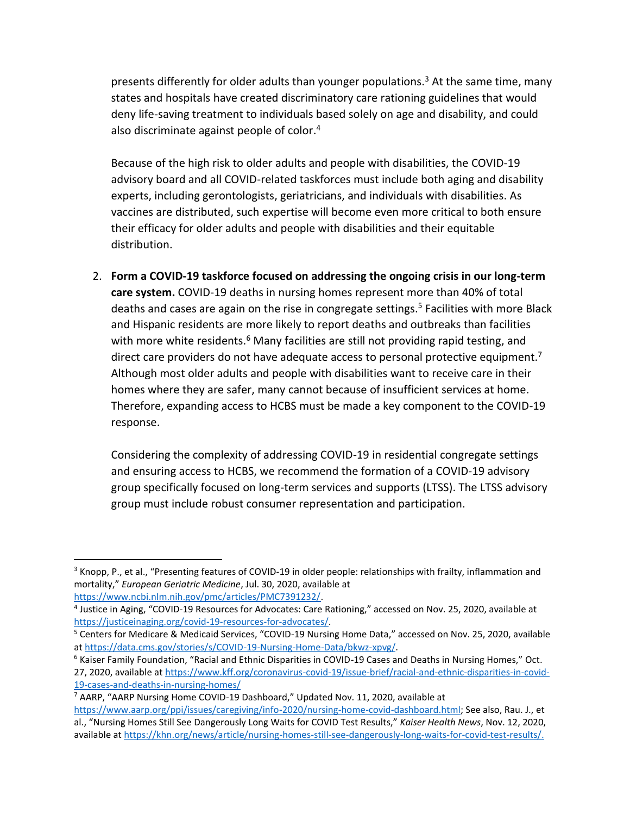presents differently for older adults than younger populations.<sup>3</sup> At the same time, many states and hospitals have created discriminatory care rationing guidelines that would deny life-saving treatment to individuals based solely on age and disability, and could also discriminate against people of color. 4

Because of the high risk to older adults and people with disabilities, the COVID-19 advisory board and all COVID-related taskforces must include both aging and disability experts, including gerontologists, geriatricians, and individuals with disabilities. As vaccines are distributed, such expertise will become even more critical to both ensure their efficacy for older adults and people with disabilities and their equitable distribution.

2. **Form a COVID-19 taskforce focused on addressing the ongoing crisis in our long-term care system.** COVID-19 deaths in nursing homes represent more than 40% of total deaths and cases are again on the rise in congregate settings.<sup>5</sup> Facilities with more Black and Hispanic residents are more likely to report deaths and outbreaks than facilities with more white residents.<sup>6</sup> Many facilities are still not providing rapid testing, and direct care providers do not have adequate access to personal protective equipment.<sup>7</sup> Although most older adults and people with disabilities want to receive care in their homes where they are safer, many cannot because of insufficient services at home. Therefore, expanding access to HCBS must be made a key component to the COVID-19 response.

Considering the complexity of addressing COVID-19 in residential congregate settings and ensuring access to HCBS, we recommend the formation of a COVID-19 advisory group specifically focused on long-term services and supports (LTSS). The LTSS advisory group must include robust consumer representation and participation.

 $\overline{\phantom{a}}$ 

<sup>6</sup> Kaiser Family Foundation, "Racial and Ethnic Disparities in COVID-19 Cases and Deaths in Nursing Homes," Oct. 27, 2020, available a[t https://www.kff.org/coronavirus-covid-19/issue-brief/racial-and-ethnic-disparities-in-covid-](https://www.kff.org/coronavirus-covid-19/issue-brief/racial-and-ethnic-disparities-in-covid-19-cases-and-deaths-in-nursing-homes/)[19-cases-and-deaths-in-nursing-homes/](https://www.kff.org/coronavirus-covid-19/issue-brief/racial-and-ethnic-disparities-in-covid-19-cases-and-deaths-in-nursing-homes/)

<sup>&</sup>lt;sup>3</sup> Knopp, P., et al., "Presenting features of COVID-19 in older people: relationships with frailty, inflammation and mortality," *European Geriatric Medicine*, Jul. 30, 2020, available at

[https://www.ncbi.nlm.nih.gov/pmc/articles/PMC7391232/.](https://www.ncbi.nlm.nih.gov/pmc/articles/PMC7391232/)

<sup>&</sup>lt;sup>4</sup> Justice in Aging, "COVID-19 Resources for Advocates: Care Rationing," accessed on Nov. 25, 2020, available at [https://justiceinaging.org/covid-19-resources-for-advocates/.](https://justiceinaging.org/covid-19-resources-for-advocates/) 

<sup>5</sup> Centers for Medicare & Medicaid Services, "COVID-19 Nursing Home Data," accessed on Nov. 25, 2020, available a[t https://data.cms.gov/stories/s/COVID-19-Nursing-Home-Data/bkwz-xpvg/.](https://data.cms.gov/stories/s/COVID-19-Nursing-Home-Data/bkwz-xpvg/)

<sup>7</sup> AARP, "AARP Nursing Home COVID-19 Dashboard," Updated Nov. 11, 2020, available at

[https://www.aarp.org/ppi/issues/caregiving/info-2020/nursing-home-covid-dashboard.html;](https://www.aarp.org/ppi/issues/caregiving/info-2020/nursing-home-covid-dashboard.html) See also, Rau. J., et al., "Nursing Homes Still See Dangerously Long Waits for COVID Test Results," *Kaiser Health News*, Nov. 12, 2020, available a[t https://khn.org/news/article/nursing-homes-still-see-dangerously-long-waits-for-covid-test-results/.](https://khn.org/news/article/nursing-homes-still-see-dangerously-long-waits-for-covid-test-results/)